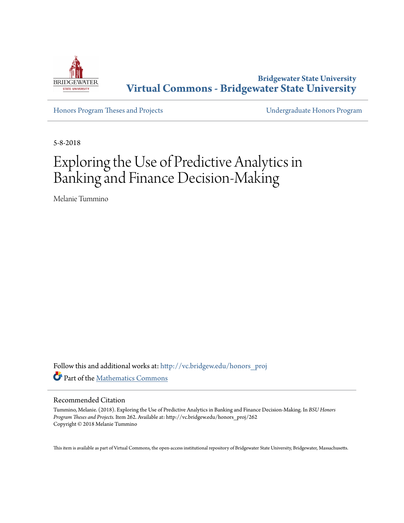

**Bridgewater State University [Virtual Commons - Bridgewater State University](http://vc.bridgew.edu?utm_source=vc.bridgew.edu%2Fhonors_proj%2F262&utm_medium=PDF&utm_campaign=PDFCoverPages)**

[Honors Program Theses and Projects](http://vc.bridgew.edu/honors_proj?utm_source=vc.bridgew.edu%2Fhonors_proj%2F262&utm_medium=PDF&utm_campaign=PDFCoverPages) [Undergraduate Honors Program](http://vc.bridgew.edu/honors?utm_source=vc.bridgew.edu%2Fhonors_proj%2F262&utm_medium=PDF&utm_campaign=PDFCoverPages)

5-8-2018

## Exploring the Use of Predictive Analytics in Banking and Finance Decision-Making

Melanie Tummino

Follow this and additional works at: [http://vc.bridgew.edu/honors\\_proj](http://vc.bridgew.edu/honors_proj?utm_source=vc.bridgew.edu%2Fhonors_proj%2F262&utm_medium=PDF&utm_campaign=PDFCoverPages) Part of the [Mathematics Commons](http://network.bepress.com/hgg/discipline/174?utm_source=vc.bridgew.edu%2Fhonors_proj%2F262&utm_medium=PDF&utm_campaign=PDFCoverPages)

#### Recommended Citation

Tummino, Melanie. (2018). Exploring the Use of Predictive Analytics in Banking and Finance Decision-Making. In *BSU Honors Program Theses and Projects.* Item 262. Available at: http://vc.bridgew.edu/honors\_proj/262 Copyright © 2018 Melanie Tummino

This item is available as part of Virtual Commons, the open-access institutional repository of Bridgewater State University, Bridgewater, Massachusetts.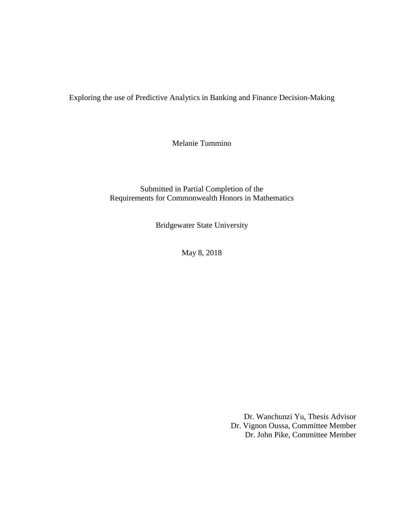Exploring the use of Predictive Analytics in Banking and Finance Decision-Making

Melanie Tummino

Submitted in Partial Completion of the Requirements for Commonwealth Honors in Mathematics

Bridgewater State University

May 8, 2018

Dr. Wanchunzi Yu, Thesis Advisor Dr. Vignon Oussa, Committee Member Dr. John Pike, Committee Member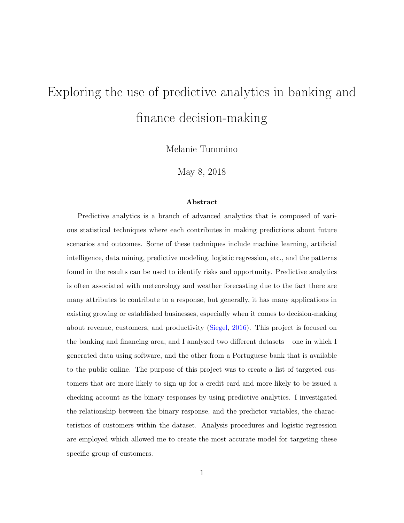# <span id="page-2-0"></span>Exploring the use of predictive analytics in banking and finance decision-making

Melanie Tummino

May 8, 2018

#### Abstract

Predictive analytics is a branch of advanced analytics that is composed of various statistical techniques where each contributes in making predictions about future scenarios and outcomes. Some of these techniques include machine learning, artificial intelligence, data mining, predictive modeling, logistic regression, etc., and the patterns found in the results can be used to identify risks and opportunity. Predictive analytics is often associated with meteorology and weather forecasting due to the fact there are many attributes to contribute to a response, but generally, it has many applications in existing growing or established businesses, especially when it comes to decision-making about revenue, customers, and productivity [\(Siegel,](#page-17-0) [2016\)](#page-17-0). This project is focused on the banking and financing area, and I analyzed two different datasets – one in which I generated data using software, and the other from a Portuguese bank that is available to the public online. The purpose of this project was to create a list of targeted customers that are more likely to sign up for a credit card and more likely to be issued a checking account as the binary responses by using predictive analytics. I investigated the relationship between the binary response, and the predictor variables, the characteristics of customers within the dataset. Analysis procedures and logistic regression are employed which allowed me to create the most accurate model for targeting these specific group of customers.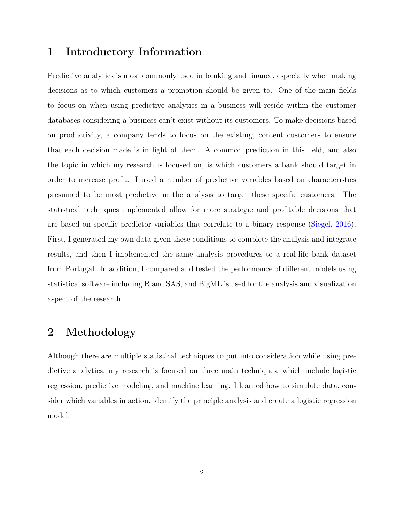#### 1 Introductory Information

Predictive analytics is most commonly used in banking and finance, especially when making decisions as to which customers a promotion should be given to. One of the main fields to focus on when using predictive analytics in a business will reside within the customer databases considering a business can't exist without its customers. To make decisions based on productivity, a company tends to focus on the existing, content customers to ensure that each decision made is in light of them. A common prediction in this field, and also the topic in which my research is focused on, is which customers a bank should target in order to increase profit. I used a number of predictive variables based on characteristics presumed to be most predictive in the analysis to target these specific customers. The statistical techniques implemented allow for more strategic and profitable decisions that are based on specific predictor variables that correlate to a binary response [\(Siegel,](#page-17-0) [2016\)](#page-17-0). First, I generated my own data given these conditions to complete the analysis and integrate results, and then I implemented the same analysis procedures to a real-life bank dataset from Portugal. In addition, I compared and tested the performance of different models using statistical software including R and SAS, and BigML is used for the analysis and visualization aspect of the research.

#### 2 Methodology

Although there are multiple statistical techniques to put into consideration while using predictive analytics, my research is focused on three main techniques, which include logistic regression, predictive modeling, and machine learning. I learned how to simulate data, consider which variables in action, identify the principle analysis and create a logistic regression model.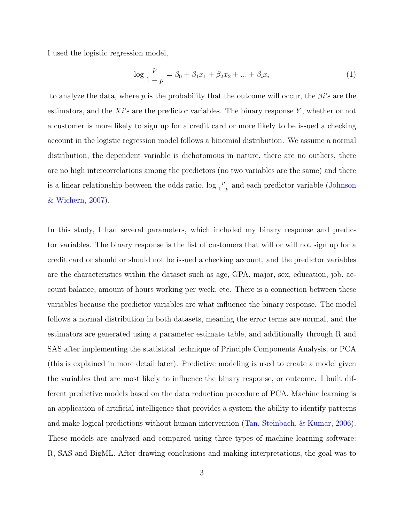I used the logistic regression model,

$$
\log \frac{p}{1-p} = \beta_0 + \beta_1 x_1 + \beta_2 x_2 + \dots + \beta_i x_i \tag{1}
$$

to analyze the data, where p is the probability that the outcome will occur, the  $\beta i$ 's are the estimators, and the  $Xi'$  are the predictor variables. The binary response Y, whether or not a customer is more likely to sign up for a credit card or more likely to be issued a checking account in the logistic regression model follows a binomial distribution. We assume a normal distribution, the dependent variable is dichotomous in nature, there are no outliers, there are no high intercorrelations among the predictors (no two variables are the same) and there is a linear relationship between the odds ratio,  $\log \frac{p}{1-p}$  and each predictor variable [\(Johnson](#page-17-1) [& Wichern,](#page-17-1) [2007\)](#page-17-1).

In this study, I had several parameters, which included my binary response and predictor variables. The binary response is the list of customers that will or will not sign up for a credit card or should or should not be issued a checking account, and the predictor variables are the characteristics within the dataset such as age, GPA, major, sex, education, job, account balance, amount of hours working per week, etc. There is a connection between these variables because the predictor variables are what influence the binary response. The model follows a normal distribution in both datasets, meaning the error terms are normal, and the estimators are generated using a parameter estimate table, and additionally through R and SAS after implementing the statistical technique of Principle Components Analysis, or PCA (this is explained in more detail later). Predictive modeling is used to create a model given the variables that are most likely to influence the binary response, or outcome. I built different predictive models based on the data reduction procedure of PCA. Machine learning is an application of artificial intelligence that provides a system the ability to identify patterns and make logical predictions without human intervention [\(Tan, Steinbach, & Kumar,](#page-17-2) [2006\)](#page-17-2). These models are analyzed and compared using three types of machine learning software: R, SAS and BigML. After drawing conclusions and making interpretations, the goal was to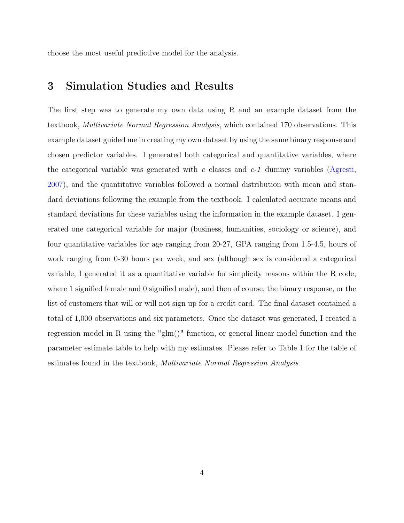choose the most useful predictive model for the analysis.

#### 3 Simulation Studies and Results

The first step was to generate my own data using R and an example dataset from the textbook, Multivariate Normal Regression Analysis, which contained 170 observations. This example dataset guided me in creating my own dataset by using the same binary response and chosen predictor variables. I generated both categorical and quantitative variables, where the categorical variable was generated with c classes and  $c-1$  dummy variables [\(Agresti,](#page-17-3) [2007\)](#page-17-3), and the quantitative variables followed a normal distribution with mean and standard deviations following the example from the textbook. I calculated accurate means and standard deviations for these variables using the information in the example dataset. I generated one categorical variable for major (business, humanities, sociology or science), and four quantitative variables for age ranging from 20-27, GPA ranging from 1.5-4.5, hours of work ranging from 0-30 hours per week, and sex (although sex is considered a categorical variable, I generated it as a quantitative variable for simplicity reasons within the R code, where 1 signified female and 0 signified male), and then of course, the binary response, or the list of customers that will or will not sign up for a credit card. The final dataset contained a total of 1,000 observations and six parameters. Once the dataset was generated, I created a regression model in R using the "glm()" function, or general linear model function and the parameter estimate table to help with my estimates. Please refer to Table 1 for the table of estimates found in the textbook, Multivariate Normal Regression Analysis.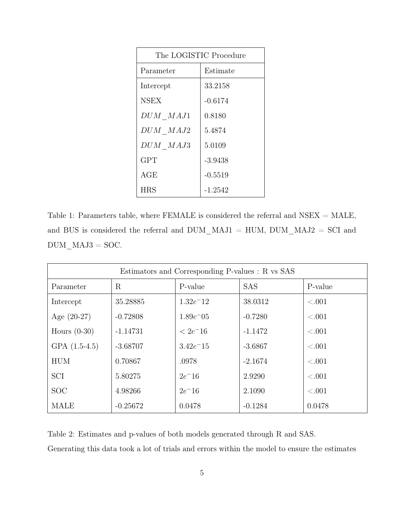| The LOGISTIC Procedure |           |  |  |
|------------------------|-----------|--|--|
| Parameter              | Estimate  |  |  |
| Intercept              | 33.2158   |  |  |
| <b>NSEX</b>            | $-0.6174$ |  |  |
| DUM MAJ1               | 0.8180    |  |  |
| DUM MAJ2               | 5.4874    |  |  |
| DUM MAJ3               | 5.0109    |  |  |
| <b>GPT</b>             | $-3.9438$ |  |  |
| AGE                    | $-0.5519$ |  |  |
| <b>HRS</b>             | -1.2542   |  |  |

Table 1: Parameters table, where FEMALE is considered the referral and NSEX = MALE, and BUS is considered the referral and DUM\_MAJ1 = HUM, DUM\_MAJ2 = SCI and  $\mbox{DUM\_MAJ3} = \mbox{SOC}.$ 

| Estimators and Corresponding P-values : R vs SAS |            |               |            |         |
|--------------------------------------------------|------------|---------------|------------|---------|
| Parameter                                        | R          | P-value       | <b>SAS</b> | P-value |
| Intercept                                        | 35.28885   | $1.32e^{-12}$ | 38.0312    | < 0.001 |
| Age $(20-27)$                                    | $-0.72808$ | $1.89e^-05$   | $-0.7280$  | < 0.001 |
| Hours $(0-30)$                                   | $-1.14731$ | $< 2e^- 16$   | $-1.1472$  | < 0.001 |
| GPA $(1.5-4.5)$                                  | $-3.68707$ | $3.42e^{-15}$ | $-3.6867$  | < 0.001 |
| <b>HUM</b>                                       | 0.70867    | .0978         | $-2.1674$  | < 0.001 |
| SCI                                              | 5.80275    | $2e^- 16$     | 2.9290     | < 0.001 |
| <b>SOC</b>                                       | 4.98266    | $2e^{-16}$    | 2.1090     | < 0.001 |
| <b>MALE</b>                                      | $-0.25672$ | 0.0478        | $-0.1284$  | 0.0478  |

Table 2: Estimates and p-values of both models generated through R and SAS. Generating this data took a lot of trials and errors within the model to ensure the estimates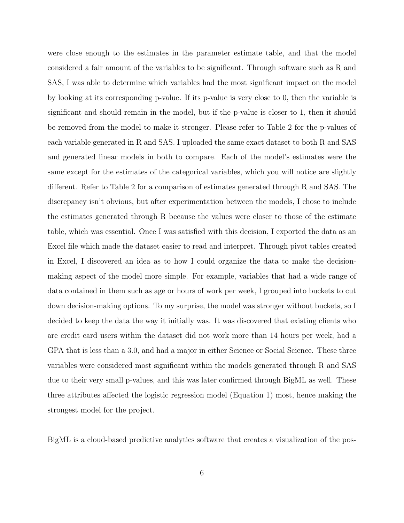were close enough to the estimates in the parameter estimate table, and that the model considered a fair amount of the variables to be significant. Through software such as R and SAS, I was able to determine which variables had the most significant impact on the model by looking at its corresponding p-value. If its p-value is very close to 0, then the variable is significant and should remain in the model, but if the p-value is closer to 1, then it should be removed from the model to make it stronger. Please refer to Table 2 for the p-values of each variable generated in R and SAS. I uploaded the same exact dataset to both R and SAS and generated linear models in both to compare. Each of the model's estimates were the same except for the estimates of the categorical variables, which you will notice are slightly different. Refer to Table 2 for a comparison of estimates generated through R and SAS. The discrepancy isn't obvious, but after experimentation between the models, I chose to include the estimates generated through R because the values were closer to those of the estimate table, which was essential. Once I was satisfied with this decision, I exported the data as an Excel file which made the dataset easier to read and interpret. Through pivot tables created in Excel, I discovered an idea as to how I could organize the data to make the decisionmaking aspect of the model more simple. For example, variables that had a wide range of data contained in them such as age or hours of work per week, I grouped into buckets to cut down decision-making options. To my surprise, the model was stronger without buckets, so I decided to keep the data the way it initially was. It was discovered that existing clients who are credit card users within the dataset did not work more than 14 hours per week, had a GPA that is less than a 3.0, and had a major in either Science or Social Science. These three variables were considered most significant within the models generated through R and SAS due to their very small p-values, and this was later confirmed through BigML as well. These three attributes affected the logistic regression model (Equation 1) most, hence making the strongest model for the project.

BigML is a cloud-based predictive analytics software that creates a visualization of the pos-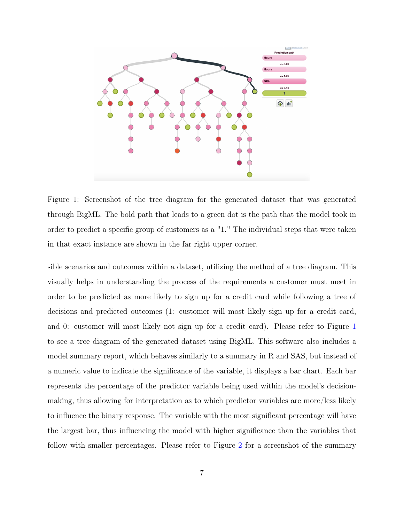

<span id="page-8-0"></span>Figure 1: Screenshot of the tree diagram for the generated dataset that was generated through BigML. The bold path that leads to a green dot is the path that the model took in order to predict a specific group of customers as a "1." The individual steps that were taken in that exact instance are shown in the far right upper corner.

sible scenarios and outcomes within a dataset, utilizing the method of a tree diagram. This visually helps in understanding the process of the requirements a customer must meet in order to be predicted as more likely to sign up for a credit card while following a tree of decisions and predicted outcomes (1: customer will most likely sign up for a credit card, and 0: customer will most likely not sign up for a credit card). Please refer to Figure [1](#page-8-0) to see a tree diagram of the generated dataset using BigML. This software also includes a model summary report, which behaves similarly to a summary in R and SAS, but instead of a numeric value to indicate the significance of the variable, it displays a bar chart. Each bar represents the percentage of the predictor variable being used within the model's decisionmaking, thus allowing for interpretation as to which predictor variables are more/less likely to influence the binary response. The variable with the most significant percentage will have the largest bar, thus influencing the model with higher significance than the variables that follow with smaller percentages. Please refer to Figure [2](#page-9-0) for a screenshot of the summary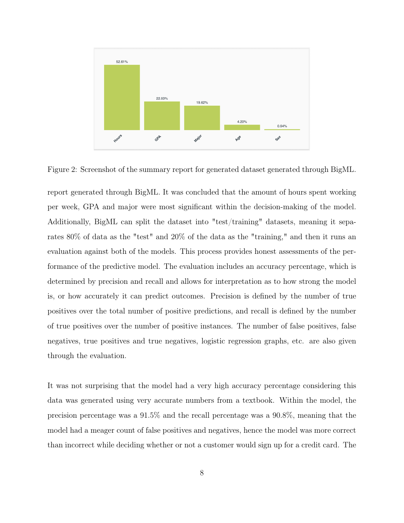

<span id="page-9-0"></span>Figure 2: Screenshot of the summary report for generated dataset generated through BigML.

report generated through BigML. It was concluded that the amount of hours spent working per week, GPA and major were most significant within the decision-making of the model. Additionally, BigML can split the dataset into "test/training" datasets, meaning it separates 80% of data as the "test" and 20% of the data as the "training," and then it runs an evaluation against both of the models. This process provides honest assessments of the performance of the predictive model. The evaluation includes an accuracy percentage, which is determined by precision and recall and allows for interpretation as to how strong the model is, or how accurately it can predict outcomes. Precision is defined by the number of true positives over the total number of positive predictions, and recall is defined by the number of true positives over the number of positive instances. The number of false positives, false negatives, true positives and true negatives, logistic regression graphs, etc. are also given through the evaluation.

It was not surprising that the model had a very high accuracy percentage considering this data was generated using very accurate numbers from a textbook. Within the model, the precision percentage was a 91.5% and the recall percentage was a 90.8%, meaning that the model had a meager count of false positives and negatives, hence the model was more correct than incorrect while deciding whether or not a customer would sign up for a credit card. The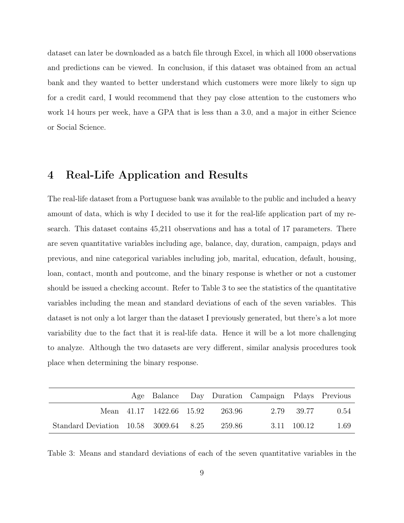dataset can later be downloaded as a batch file through Excel, in which all 1000 observations and predictions can be viewed. In conclusion, if this dataset was obtained from an actual bank and they wanted to better understand which customers were more likely to sign up for a credit card, I would recommend that they pay close attention to the customers who work 14 hours per week, have a GPA that is less than a 3.0, and a major in either Science or Social Science.

#### 4 Real-Life Application and Results

The real-life dataset from a Portuguese bank was available to the public and included a heavy amount of data, which is why I decided to use it for the real-life application part of my research. This dataset contains 45,211 observations and has a total of 17 parameters. There are seven quantitative variables including age, balance, day, duration, campaign, pdays and previous, and nine categorical variables including job, marital, education, default, housing, loan, contact, month and poutcome, and the binary response is whether or not a customer should be issued a checking account. Refer to Table 3 to see the statistics of the quantitative variables including the mean and standard deviations of each of the seven variables. This dataset is not only a lot larger than the dataset I previously generated, but there's a lot more variability due to the fact that it is real-life data. Hence it will be a lot more challenging to analyze. Although the two datasets are very different, similar analysis procedures took place when determining the binary response.

|                                           |  |                                 | Age Balance Day Duration Campaign Pdays Previous |             |      |
|-------------------------------------------|--|---------------------------------|--------------------------------------------------|-------------|------|
|                                           |  | Mean 41.17 1422.66 15.92 263.96 |                                                  | 2.79 39.77  | 0.54 |
| Standard Deviation $10.58$ 3009.64 $8.25$ |  | 259.86                          |                                                  | 3.11 100.12 | 1.69 |

Table 3: Means and standard deviations of each of the seven quantitative variables in the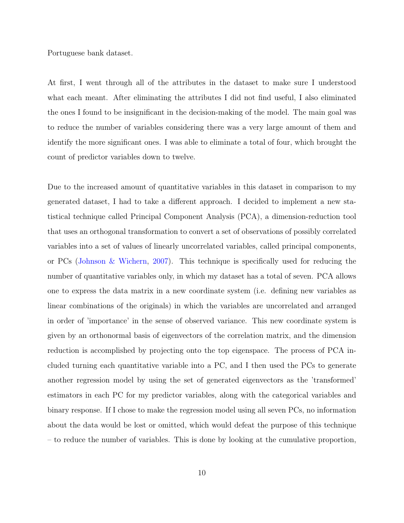Portuguese bank dataset.

At first, I went through all of the attributes in the dataset to make sure I understood what each meant. After eliminating the attributes I did not find useful, I also eliminated the ones I found to be insignificant in the decision-making of the model. The main goal was to reduce the number of variables considering there was a very large amount of them and identify the more significant ones. I was able to eliminate a total of four, which brought the count of predictor variables down to twelve.

Due to the increased amount of quantitative variables in this dataset in comparison to my generated dataset, I had to take a different approach. I decided to implement a new statistical technique called Principal Component Analysis (PCA), a dimension-reduction tool that uses an orthogonal transformation to convert a set of observations of possibly correlated variables into a set of values of linearly uncorrelated variables, called principal components, or PCs [\(Johnson & Wichern,](#page-17-1) [2007\)](#page-17-1). This technique is specifically used for reducing the number of quantitative variables only, in which my dataset has a total of seven. PCA allows one to express the data matrix in a new coordinate system (i.e. defining new variables as linear combinations of the originals) in which the variables are uncorrelated and arranged in order of 'importance' in the sense of observed variance. This new coordinate system is given by an orthonormal basis of eigenvectors of the correlation matrix, and the dimension reduction is accomplished by projecting onto the top eigenspace. The process of PCA included turning each quantitative variable into a PC, and I then used the PCs to generate another regression model by using the set of generated eigenvectors as the 'transformed' estimators in each PC for my predictor variables, along with the categorical variables and binary response. If I chose to make the regression model using all seven PCs, no information about the data would be lost or omitted, which would defeat the purpose of this technique – to reduce the number of variables. This is done by looking at the cumulative proportion,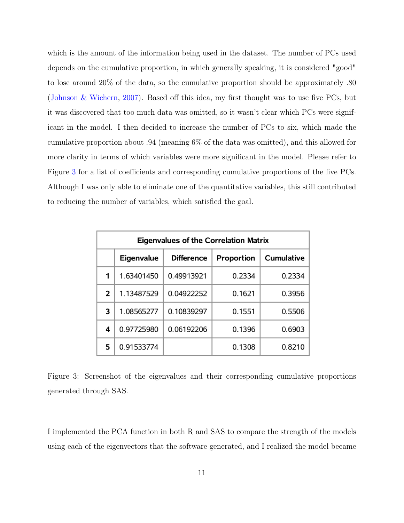which is the amount of the information being used in the dataset. The number of PCs used depends on the cumulative proportion, in which generally speaking, it is considered "good" to lose around 20% of the data, so the cumulative proportion should be approximately .80 [\(Johnson & Wichern,](#page-17-1) [2007\)](#page-17-1). Based off this idea, my first thought was to use five PCs, but it was discovered that too much data was omitted, so it wasn't clear which PCs were significant in the model. I then decided to increase the number of PCs to six, which made the cumulative proportion about .94 (meaning 6% of the data was omitted), and this allowed for more clarity in terms of which variables were more significant in the model. Please refer to Figure [3](#page-12-0) for a list of coefficients and corresponding cumulative proportions of the five PCs. Although I was only able to eliminate one of the quantitative variables, this still contributed to reducing the number of variables, which satisfied the goal.

| <b>Eigenvalues of the Correlation Matrix</b> |                   |                   |            |                   |  |
|----------------------------------------------|-------------------|-------------------|------------|-------------------|--|
|                                              | <b>Eigenvalue</b> | <b>Difference</b> | Proportion | <b>Cumulative</b> |  |
| 1                                            | 1.63401450        | 0.49913921        | 0.2334     | 0.2334            |  |
| 2                                            | 1.13487529        | 0.04922252        | 0.1621     | 0.3956            |  |
| 3                                            | 1.08565277        | 0.10839297        | 0.1551     | 0.5506            |  |
| 4                                            | 0.97725980        | 0.06192206        | 0.1396     | 0.6903            |  |
| 5                                            | 0.91533774        |                   | 0.1308     | 0.8210            |  |

<span id="page-12-0"></span>Figure 3: Screenshot of the eigenvalues and their corresponding cumulative proportions generated through SAS.

I implemented the PCA function in both R and SAS to compare the strength of the models using each of the eigenvectors that the software generated, and I realized the model became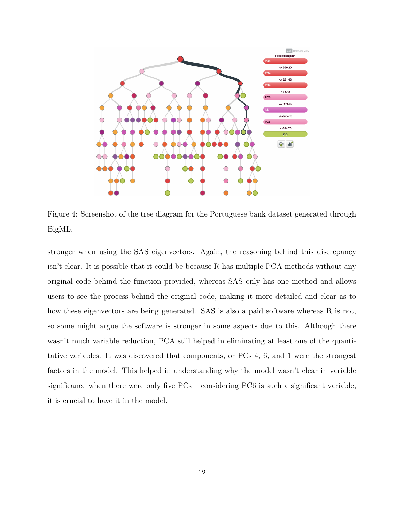

<span id="page-13-0"></span>Figure 4: Screenshot of the tree diagram for the Portuguese bank dataset generated through BigML.

stronger when using the SAS eigenvectors. Again, the reasoning behind this discrepancy isn't clear. It is possible that it could be because R has multiple PCA methods without any original code behind the function provided, whereas SAS only has one method and allows users to see the process behind the original code, making it more detailed and clear as to how these eigenvectors are being generated. SAS is also a paid software whereas R is not, so some might argue the software is stronger in some aspects due to this. Although there wasn't much variable reduction, PCA still helped in eliminating at least one of the quantitative variables. It was discovered that components, or PCs 4, 6, and 1 were the strongest factors in the model. This helped in understanding why the model wasn't clear in variable significance when there were only five  $PCs$  – considering  $PC6$  is such a significant variable, it is crucial to have it in the model.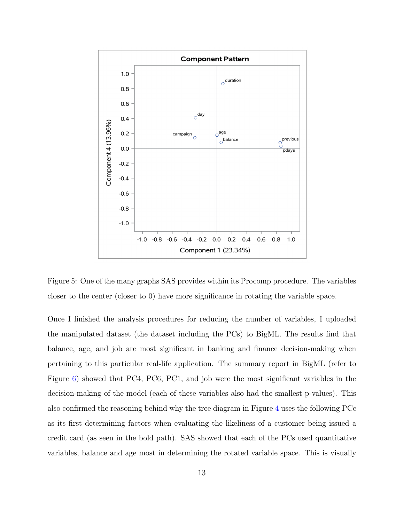

<span id="page-14-0"></span>Figure 5: One of the many graphs SAS provides within its Procomp procedure. The variables closer to the center (closer to 0) have more significance in rotating the variable space.

Once I finished the analysis procedures for reducing the number of variables, I uploaded the manipulated dataset (the dataset including the PCs) to BigML. The results find that balance, age, and job are most significant in banking and finance decision-making when pertaining to this particular real-life application. The summary report in BigML (refer to Figure [6\)](#page-15-0) showed that PC4, PC6, PC1, and job were the most significant variables in the decision-making of the model (each of these variables also had the smallest p-values). This also confirmed the reasoning behind why the tree diagram in Figure [4](#page-13-0) uses the following PCc as its first determining factors when evaluating the likeliness of a customer being issued a credit card (as seen in the bold path). SAS showed that each of the PCs used quantitative variables, balance and age most in determining the rotated variable space. This is visually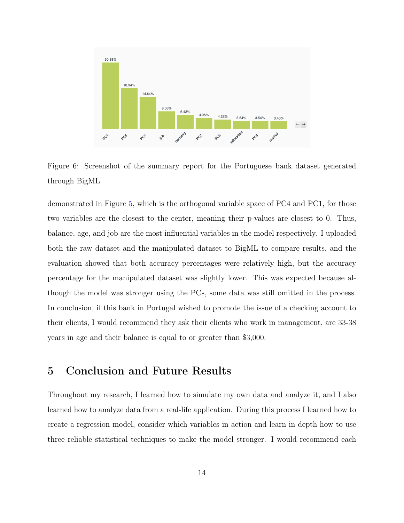

<span id="page-15-0"></span>Figure 6: Screenshot of the summary report for the Portuguese bank dataset generated through BigML.

demonstrated in Figure [5,](#page-14-0) which is the orthogonal variable space of PC4 and PC1, for those two variables are the closest to the center, meaning their p-values are closest to 0. Thus, balance, age, and job are the most influential variables in the model respectively. I uploaded both the raw dataset and the manipulated dataset to BigML to compare results, and the evaluation showed that both accuracy percentages were relatively high, but the accuracy percentage for the manipulated dataset was slightly lower. This was expected because although the model was stronger using the PCs, some data was still omitted in the process. In conclusion, if this bank in Portugal wished to promote the issue of a checking account to their clients, I would recommend they ask their clients who work in management, are 33-38 years in age and their balance is equal to or greater than \$3,000.

#### 5 Conclusion and Future Results

Throughout my research, I learned how to simulate my own data and analyze it, and I also learned how to analyze data from a real-life application. During this process I learned how to create a regression model, consider which variables in action and learn in depth how to use three reliable statistical techniques to make the model stronger. I would recommend each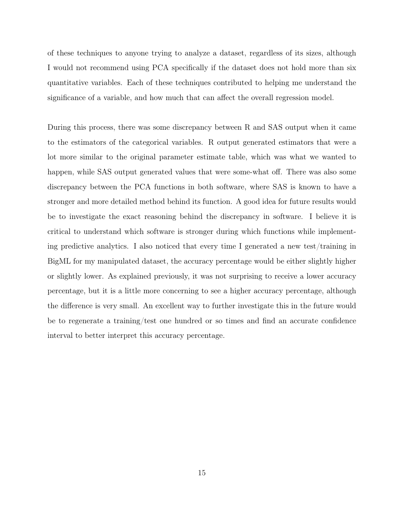of these techniques to anyone trying to analyze a dataset, regardless of its sizes, although I would not recommend using PCA specifically if the dataset does not hold more than six quantitative variables. Each of these techniques contributed to helping me understand the significance of a variable, and how much that can affect the overall regression model.

During this process, there was some discrepancy between R and SAS output when it came to the estimators of the categorical variables. R output generated estimators that were a lot more similar to the original parameter estimate table, which was what we wanted to happen, while SAS output generated values that were some-what off. There was also some discrepancy between the PCA functions in both software, where SAS is known to have a stronger and more detailed method behind its function. A good idea for future results would be to investigate the exact reasoning behind the discrepancy in software. I believe it is critical to understand which software is stronger during which functions while implementing predictive analytics. I also noticed that every time I generated a new test/training in BigML for my manipulated dataset, the accuracy percentage would be either slightly higher or slightly lower. As explained previously, it was not surprising to receive a lower accuracy percentage, but it is a little more concerning to see a higher accuracy percentage, although the difference is very small. An excellent way to further investigate this in the future would be to regenerate a training/test one hundred or so times and find an accurate confidence interval to better interpret this accuracy percentage.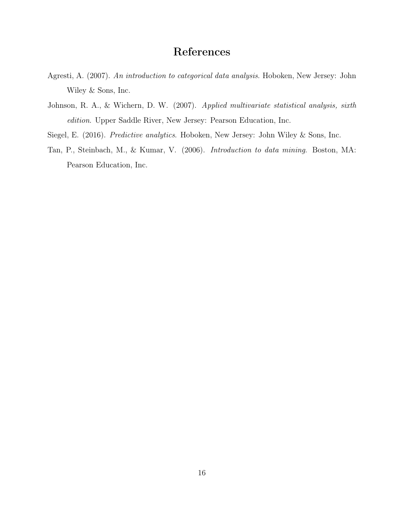#### References

- <span id="page-17-3"></span>Agresti, A. (2007). An introduction to categorical data analysis. Hoboken, New Jersey: John Wiley & Sons, Inc.
- <span id="page-17-1"></span>Johnson, R. A., & Wichern, D. W. (2007). Applied multivariate statistical analysis, sixth edition. Upper Saddle River, New Jersey: Pearson Education, Inc.
- <span id="page-17-2"></span><span id="page-17-0"></span>Siegel, E. (2016). Predictive analytics. Hoboken, New Jersey: John Wiley & Sons, Inc.
- Tan, P., Steinbach, M., & Kumar, V. (2006). Introduction to data mining. Boston, MA: Pearson Education, Inc.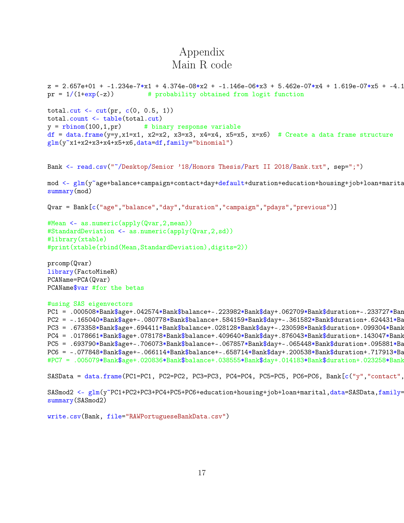## Appendix Main R code

```
z = 2.657e+01 + -1.234e-7*x1 + 4.374e-08*x2 + -1.146e-06*x3 + 5.462e-07*x4 + 1.619e-07*x5 + -4.106e-08*x3pr = 1/(1+exp(-z)) # probability obtained from logit function
total.cut <- cut(pr, c(0, 0.5, 1))total.count <- table(total.cut)
y =rbinom(100, 1, pr) # binary response variable
df = data.frame(y=y,x1=x1, x2=x2, x3=x3, x4=x4, x5=x5, x=x6) # Create a data frame structure
glm(y^{\sim}x1+x2+x3+x4+x5+x6,data=df,family='binomial')Bank <- read.csv("~/Desktop/Senior '18/Honors Thesis/Part II 2018/Bank.txt", sep=";")
mod <- glm(y~age+balance+campaign+contact+day+default+duration+education+housing+job+loan+marita
summary(mod)
Qvar = Bank[c("age","balance","day","duration","campaign","pdays","previous")]
#Mean <- as.numeric(apply(Qvar,2,mean))
#StandardDeviation <- as.numeric(apply(Qvar,2,sd))
#library(xtable)
#print(xtable(rbind(Mean,StandardDeviation),digits=2))
prcomp(Qvar)
library(FactoMineR)
PCAName=PCA(Qvar)
PCAName$var #for the betas
#using SAS eigenvectors
PC1 = .000508*Bank$age+.042574*Bank$balance+-.223982*Bank$day+.062709*Bank$duration+-.233727*Ban
PC2 = -.165040*Bank$age+-.080778*Bank$balance+.584159*Bank$day+-.361582*Bank$duration+.624431*BaPC3 = .673358*Bank$age+.694411*Bank$balance+.028128*Bank$day+-.230598*Bank$durrent@druation+.099304*Bank$PC4 = .0178661*Bank$age+.078178*Bank$balance+.409640*Bank$day+.876043*Bank$duration+.143047*Bank$PC5 = .693790*Bank$age+-.706073*Bank$balance+-.067857*Bank$day+-.065448*Bank$duration+.095881*Ba
PC6 = -.077848*Bank$age+-.066114*Bank$balance+-.658714*Bank$day+.200538*Bank$duration+.717913*Ba
#PC7 = .005079*Bank$age+.020836*Bank$balance+.038555*Bank$day+.014183*Bank$duration+.023258*Bank$campaign+.709853*Bank$pdays+-.702439*Bank$previous
SASData = data.frame(PC1=PC1, PC2=PC2, PC3=PC3, PC4=PC4, PC5=PC5, PC6=PC6, Bank[c("y", "contact",
```
SASmod2 <- glm(y~PC1+PC2+PC3+PC4+PC5+PC6+education+housing+job+loan+marital,data=SASData,family= summary(SASmod2)

write.csv(Bank, file="RAWPortugueseBankData.csv")